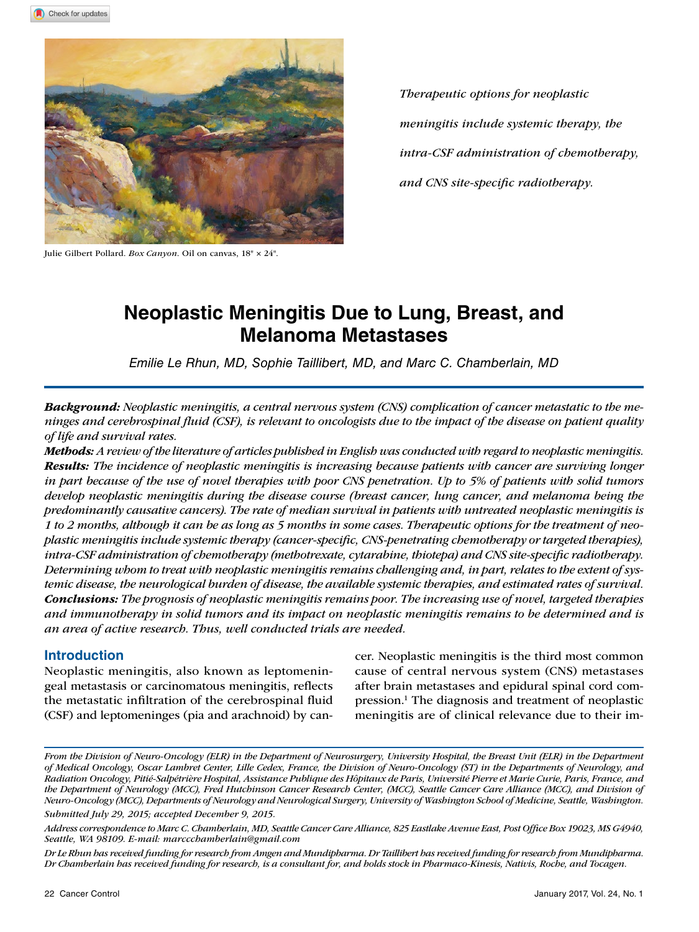

*Therapeutic options for neoplastic meningitis include systemic therapy, the intra-CSF administration of chemotherapy, and CNS site-specific radiotherapy.*

Julie Gilbert Pollard. *Box Canyon*. Oil on canvas, 18" × 24".

# **Neoplastic Meningitis Due to Lung, Breast, and Melanoma Metastases**

*Emilie Le Rhun, MD, Sophie Taillibert, MD, and Marc C. Chamberlain, MD*

*Background: Neoplastic meningitis, a central nervous system (CNS) complication of cancer metastatic to the meninges and cerebrospinal fluid (CSF), is relevant to oncologists due to the impact of the disease on patient quality of life and survival rates.* 

*Methods: A review of the literature of articles published in English was conducted with regard to neoplastic meningitis. Results: The incidence of neoplastic meningitis is increasing because patients with cancer are surviving longer in part because of the use of novel therapies with poor CNS penetration. Up to 5% of patients with solid tumors develop neoplastic meningitis during the disease course (breast cancer, lung cancer, and melanoma being the predominantly causative cancers). The rate of median survival in patients with untreated neoplastic meningitis is 1 to 2 months, although it can be as long as 5 months in some cases. Therapeutic options for the treatment of neoplastic meningitis include systemic therapy (cancer-specific, CNS-penetrating chemotherapy or targeted therapies), intra-CSF administration of chemotherapy (methotrexate, cytarabine, thiotepa) and CNS site-specific radiotherapy. Determining whom to treat with neoplastic meningitis remains challenging and, in part, relates to the extent of systemic disease, the neurological burden of disease, the available systemic therapies, and estimated rates of survival. Conclusions: The prognosis of neoplastic meningitis remains poor. The increasing use of novel, targeted therapies and immunotherapy in solid tumors and its impact on neoplastic meningitis remains to be determined and is an area of active research. Thus, well conducted trials are needed.*

## **Introduction**

Neoplastic meningitis, also known as leptomeningeal metastasis or carcinomatous meningitis, reflects the metastatic infiltration of the cerebrospinal fluid (CSF) and leptomeninges (pia and arachnoid) by cancer. Neoplastic meningitis is the third most common cause of central nervous system (CNS) metastases after brain metastases and epidural spinal cord compression.1 The diagnosis and treatment of neoplastic meningitis are of clinical relevance due to their im-

*From the Division of Neuro-Oncology (ELR) in the Department of Neurosurgery, University Hospital, the Breast Unit (ELR) in the Department of Medical Oncology, Oscar Lambret Center, Lille Cedex, France, the Division of Neuro-Oncology (ST) in the Departments of Neurology, and Radiation Oncology, Pitié-Salpétrière Hospital, Assistance Publique des Hôpitaux de Paris, Université Pierre et Marie Curie, Paris, France, and the Department of Neurology (MCC), Fred Hutchinson Cancer Research Center, (MCC), Seattle Cancer Care Alliance (MCC), and Division of Neuro-Oncology (MCC), Departments of Neurology and Neurological Surgery, University of Washington School of Medicine, Seattle, Washington. Submitted July 29, 2015; accepted December 9, 2015.*

*Address correspondence to Marc C. Chamberlain, MD, Seattle Cancer Care Alliance, 825 Eastlake Avenue East, Post Office Box 19023, MS G4940, Seattle, WA 98109. E-mail: marccchamberlain@gmail.com*

*Dr Le Rhun has received funding for research from Amgen and Mundipharma. Dr Taillibert has received funding for research from Mundipharma. Dr Chamberlain has received funding for research, is a consultant for, and holds stock in Pharmaco-Kinesis, Nativis, Roche, and Tocagen.*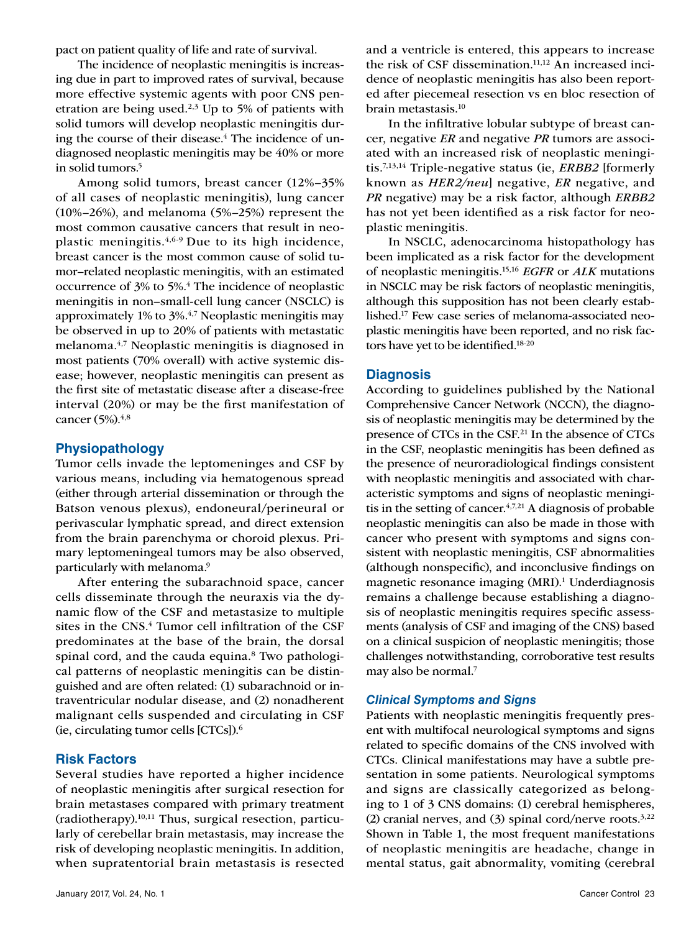pact on patient quality of life and rate of survival.

The incidence of neoplastic meningitis is increasing due in part to improved rates of survival, because more effective systemic agents with poor CNS penetration are being used. $2,3$  Up to 5% of patients with solid tumors will develop neoplastic meningitis during the course of their disease.<sup>4</sup> The incidence of undiagnosed neoplastic meningitis may be 40% or more in solid tumors.5

Among solid tumors, breast cancer (12%–35% of all cases of neoplastic meningitis), lung cancer (10%–26%), and melanoma (5%–25%) represent the most common causative cancers that result in neoplastic meningitis. $4,6-9$  Due to its high incidence, breast cancer is the most common cause of solid tumor–related neoplastic meningitis, with an estimated occurrence of 3% to 5%.4 The incidence of neoplastic meningitis in non–small-cell lung cancer (NSCLC) is approximately 1% to 3%.4,7 Neoplastic meningitis may be observed in up to 20% of patients with metastatic melanoma.4,7 Neoplastic meningitis is diagnosed in most patients (70% overall) with active systemic disease; however, neoplastic meningitis can present as the first site of metastatic disease after a disease-free interval (20%) or may be the first manifestation of cancer (5%).<sup>4,8</sup>

## **Physiopathology**

Tumor cells invade the leptomeninges and CSF by various means, including via hematogenous spread (either through arterial dissemination or through the Batson venous plexus), endoneural/perineural or perivascular lymphatic spread, and direct extension from the brain parenchyma or choroid plexus. Primary leptomeningeal tumors may be also observed, particularly with melanoma.9

After entering the subarachnoid space, cancer cells disseminate through the neuraxis via the dynamic flow of the CSF and metastasize to multiple sites in the CNS.<sup>4</sup> Tumor cell infiltration of the CSF predominates at the base of the brain, the dorsal spinal cord, and the cauda equina.<sup>8</sup> Two pathological patterns of neoplastic meningitis can be distinguished and are often related: (1) subarachnoid or intraventricular nodular disease, and (2) nonadherent malignant cells suspended and circulating in CSF (ie, circulating tumor cells [CTCs]).6

## **Risk Factors**

Several studies have reported a higher incidence of neoplastic meningitis after surgical resection for brain metastases compared with primary treatment (radiotherapy).10,11 Thus, surgical resection, particularly of cerebellar brain metastasis, may increase the risk of developing neoplastic meningitis. In addition, when supratentorial brain metastasis is resected and a ventricle is entered, this appears to increase the risk of CSF dissemination.<sup>11,12</sup> An increased incidence of neoplastic meningitis has also been reported after piecemeal resection vs en bloc resection of brain metastasis.10

In the infiltrative lobular subtype of breast cancer, negative *ER* and negative *PR* tumors are associated with an increased risk of neoplastic meningitis.7,13,14 Triple-negative status (ie, *ERBB2* [formerly known as *HER2/neu*] negative, *ER* negative, and *PR* negative) may be a risk factor, although *ERBB2*  has not yet been identified as a risk factor for neoplastic meningitis.

In NSCLC, adenocarcinoma histopathology has been implicated as a risk factor for the development of neoplastic meningitis.15,16 *EGFR* or *ALK* mutations in NSCLC may be risk factors of neoplastic meningitis, although this supposition has not been clearly established.17 Few case series of melanoma-associated neoplastic meningitis have been reported, and no risk factors have yet to be identified.18-20

## **Diagnosis**

According to guidelines published by the National Comprehensive Cancer Network (NCCN), the diagnosis of neoplastic meningitis may be determined by the presence of CTCs in the CSF.21 In the absence of CTCs in the CSF, neoplastic meningitis has been defined as the presence of neuroradiological findings consistent with neoplastic meningitis and associated with characteristic symptoms and signs of neoplastic meningitis in the setting of cancer. $4,7,21$  A diagnosis of probable neoplastic meningitis can also be made in those with cancer who present with symptoms and signs consistent with neoplastic meningitis, CSF abnormalities (although nonspecific), and inconclusive findings on magnetic resonance imaging (MRI).<sup>1</sup> Underdiagnosis remains a challenge because establishing a diagnosis of neoplastic meningitis requires specific assessments (analysis of CSF and imaging of the CNS) based on a clinical suspicion of neoplastic meningitis; those challenges notwithstanding, corroborative test results may also be normal.7

## *Clinical Symptoms and Signs*

Patients with neoplastic meningitis frequently present with multifocal neurological symptoms and signs related to specific domains of the CNS involved with CTCs. Clinical manifestations may have a subtle presentation in some patients. Neurological symptoms and signs are classically categorized as belonging to 1 of 3 CNS domains: (1) cerebral hemispheres, (2) cranial nerves, and (3) spinal cord/nerve roots. $3,22$ Shown in Table 1, the most frequent manifestations of neoplastic meningitis are headache, change in mental status, gait abnormality, vomiting (cerebral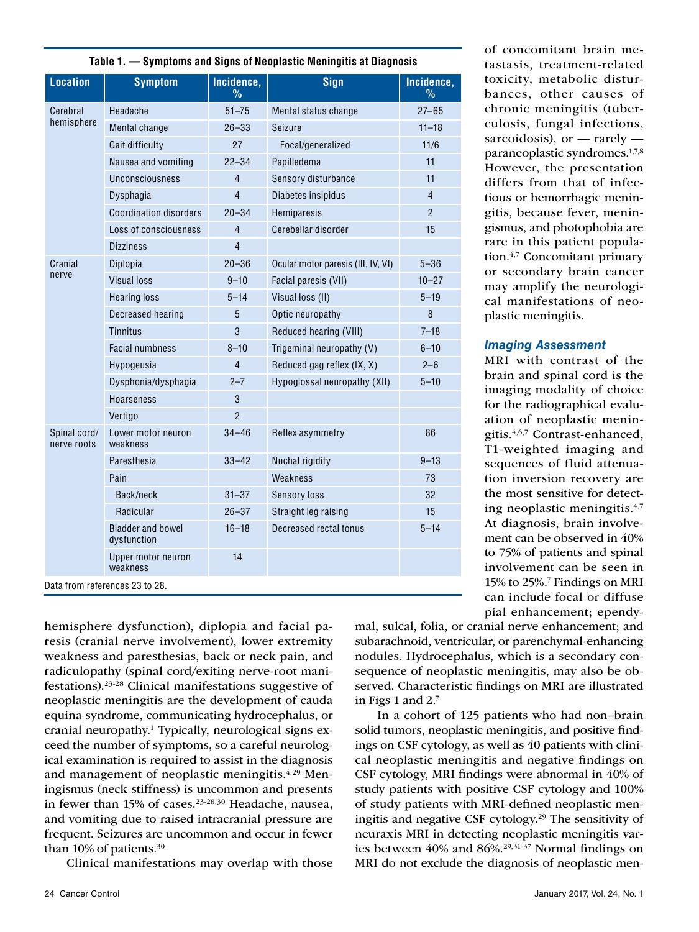| <b>Location</b>                | <b>Symptom</b>                          | Incidence,<br>$\frac{9}{6}$ | <b>Sign</b>                        | Incidence,<br>$\frac{9}{6}$ |  |
|--------------------------------|-----------------------------------------|-----------------------------|------------------------------------|-----------------------------|--|
| Cerebral                       | Headache                                | $51 - 75$                   | Mental status change               | $27 - 65$                   |  |
| hemisphere                     | Mental change                           | $26 - 33$                   | Seizure                            | $11 - 18$                   |  |
|                                | Gait difficulty                         | 27                          | Focal/generalized                  | 11/6                        |  |
|                                | Nausea and vomiting                     | $22 - 34$                   | Papilledema                        | 11                          |  |
|                                | Unconsciousness                         | 4                           | Sensory disturbance                | 11                          |  |
|                                | Dysphagia                               | 4                           | Diabetes insipidus                 | $\overline{4}$              |  |
|                                | <b>Coordination disorders</b>           | $20 - 34$                   | Hemiparesis                        | $\overline{2}$              |  |
|                                | Loss of consciousness                   | $\overline{4}$              | Cerebellar disorder                | 15                          |  |
|                                | <b>Dizziness</b>                        | 4                           |                                    |                             |  |
| Cranial                        | Diplopia                                | $20 - 36$                   | Ocular motor paresis (III, IV, VI) | $5 - 36$                    |  |
| nerve                          | Visual loss                             | $9 - 10$                    | Facial paresis (VII)               | $10 - 27$                   |  |
|                                | <b>Hearing loss</b>                     | $5 - 14$                    | Visual loss (II)                   | $5 - 19$                    |  |
|                                | Decreased hearing                       | 5                           | Optic neuropathy                   | 8                           |  |
|                                | <b>Tinnitus</b>                         | 3                           | Reduced hearing (VIII)             | $7 - 18$                    |  |
|                                | <b>Facial numbness</b>                  | $8 - 10$                    | Trigeminal neuropathy (V)          | $6 - 10$                    |  |
|                                | Hypogeusia                              | 4                           | Reduced gag reflex (IX, X)         | $2 - 6$                     |  |
|                                | Dysphonia/dysphagia                     | $2 - 7$                     | Hypoglossal neuropathy (XII)       | $5 - 10$                    |  |
|                                | <b>Hoarseness</b>                       | 3                           |                                    |                             |  |
|                                | Vertigo                                 | $\overline{2}$              |                                    |                             |  |
| Spinal cord/<br>nerve roots    | Lower motor neuron<br>weakness          | $34 - 46$                   | Reflex asymmetry                   | 86                          |  |
|                                | Paresthesia                             | $33 - 42$                   | Nuchal rigidity                    | $9 - 13$                    |  |
|                                | Pain                                    |                             | Weakness                           | 73                          |  |
|                                | Back/neck                               | $31 - 37$                   | <b>Sensory loss</b>                | 32                          |  |
|                                | Radicular                               | $26 - 37$                   | Straight leg raising               | 15                          |  |
|                                | <b>Bladder and bowel</b><br>dysfunction | $16 - 18$                   | Decreased rectal tonus             | $5 - 14$                    |  |
|                                | Upper motor neuron<br>weakness          | 14                          |                                    |                             |  |
| Data from references 23 to 28. |                                         |                             |                                    |                             |  |

**Table 1. — Symptoms and Signs of Neoplastic Meningitis at Diagnosis** 

hemisphere dysfunction), diplopia and facial paresis (cranial nerve involvement), lower extremity weakness and paresthesias, back or neck pain, and radiculopathy (spinal cord/exiting nerve-root manifestations).23-28 Clinical manifestations suggestive of neoplastic meningitis are the development of cauda equina syndrome, communicating hydrocephalus, or cranial neuropathy.1 Typically, neurological signs exceed the number of symptoms, so a careful neurological examination is required to assist in the diagnosis and management of neoplastic meningitis.<sup>4,29</sup> Meningismus (neck stiffness) is uncommon and presents in fewer than 15% of cases.<sup>23-28,30</sup> Headache, nausea, and vomiting due to raised intracranial pressure are frequent. Seizures are uncommon and occur in fewer than 10% of patients.30

Clinical manifestations may overlap with those

of concomitant brain metastasis, treatment-related toxicity, metabolic disturbances, other causes of chronic meningitis (tuberculosis, fungal infections, sarcoidosis), or  $-$  rarely  $$ paraneoplastic syndromes.1,7,8 However, the presentation differs from that of infectious or hemorrhagic meningitis, because fever, meningismus, and photophobia are rare in this patient population.4,7 Concomitant primary or secondary brain cancer may amplify the neurological manifestations of neoplastic meningitis.

## *Imaging Assessment*

MRI with contrast of the brain and spinal cord is the imaging modality of choice for the radiographical evaluation of neoplastic meningitis.4,6,7 Contrast-enhanced, T1-weighted imaging and sequences of fluid attenuation inversion recovery are the most sensitive for detecting neoplastic meningitis. $4,7$ At diagnosis, brain involvement can be observed in 40% to 75% of patients and spinal involvement can be seen in 15% to 25%.7 Findings on MRI can include focal or diffuse pial enhancement; ependy-

mal, sulcal, folia, or cranial nerve enhancement; and subarachnoid, ventricular, or parenchymal-enhancing nodules. Hydrocephalus, which is a secondary consequence of neoplastic meningitis, may also be observed. Characteristic findings on MRI are illustrated in Figs 1 and 2.7

In a cohort of 125 patients who had non–brain solid tumors, neoplastic meningitis, and positive findings on CSF cytology, as well as 40 patients with clinical neoplastic meningitis and negative findings on CSF cytology, MRI findings were abnormal in 40% of study patients with positive CSF cytology and 100% of study patients with MRI-defined neoplastic meningitis and negative CSF cytology.29 The sensitivity of neuraxis MRI in detecting neoplastic meningitis varies between 40% and 86%.29,31-37 Normal findings on MRI do not exclude the diagnosis of neoplastic men-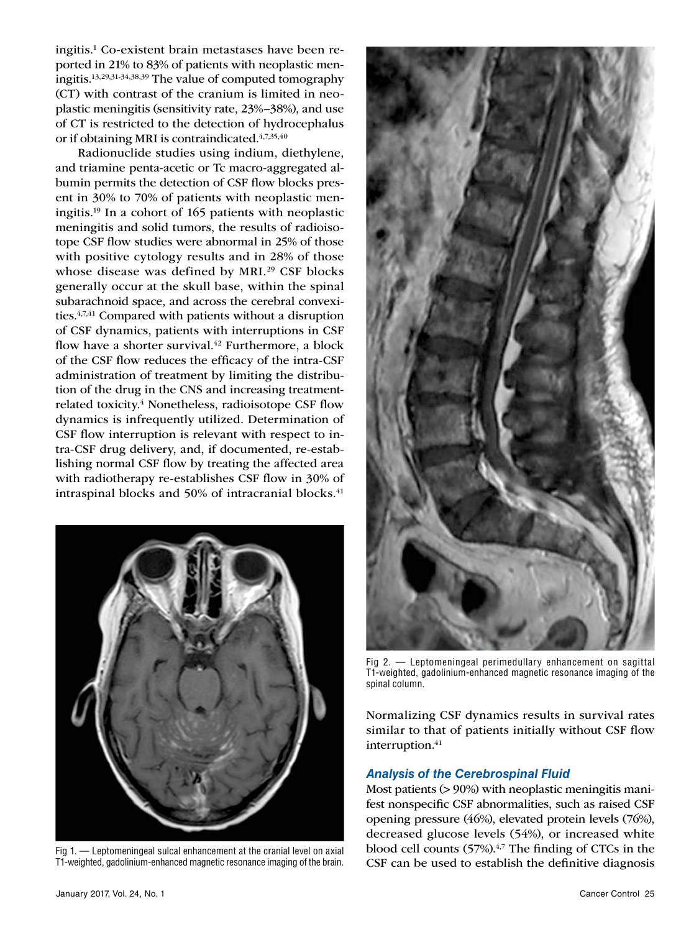ingitis.1 Co-existent brain metastases have been reported in 21% to 83% of patients with neoplastic meningitis.13,29,31-34,38,39 The value of computed tomography (CT) with contrast of the cranium is limited in neoplastic meningitis (sensitivity rate, 23%–38%), and use of CT is restricted to the detection of hydrocephalus or if obtaining MRI is contraindicated.<sup>4,7,35,40</sup>

Radionuclide studies using indium, diethylene, and triamine penta-acetic or Tc macro-aggregated albumin permits the detection of CSF flow blocks present in 30% to 70% of patients with neoplastic meningitis.19 In a cohort of 165 patients with neoplastic meningitis and solid tumors, the results of radioisotope CSF flow studies were abnormal in 25% of those with positive cytology results and in 28% of those whose disease was defined by MRI.<sup>29</sup> CSF blocks generally occur at the skull base, within the spinal subarachnoid space, and across the cerebral convexities.4,7,41 Compared with patients without a disruption of CSF dynamics, patients with interruptions in CSF flow have a shorter survival.<sup>42</sup> Furthermore, a block of the CSF flow reduces the efficacy of the intra-CSF administration of treatment by limiting the distribution of the drug in the CNS and increasing treatmentrelated toxicity.<sup>4</sup> Nonetheless, radioisotope CSF flow dynamics is infrequently utilized. Determination of CSF flow interruption is relevant with respect to intra-CSF drug delivery, and, if documented, re-establishing normal CSF flow by treating the affected area with radiotherapy re-establishes CSF flow in 30% of intraspinal blocks and 50% of intracranial blocks. $41$ 



Fig 1. — Leptomeningeal sulcal enhancement at the cranial level on axial T1-weighted, gadolinium-enhanced magnetic resonance imaging of the brain.



Fig 2. — Leptomeningeal perimedullary enhancement on sagittal T1-weighted, gadolinium-enhanced magnetic resonance imaging of the spinal column.

Normalizing CSF dynamics results in survival rates similar to that of patients initially without CSF flow interruption.<sup>41</sup>

## *Analysis of the Cerebrospinal Fluid*

Most patients (> 90%) with neoplastic meningitis manifest nonspecific CSF abnormalities, such as raised CSF opening pressure (46%), elevated protein levels (76%), decreased glucose levels (54%), or increased white blood cell counts  $(57%)$ .<sup>4,7</sup> The finding of CTCs in the CSF can be used to establish the definitive diagnosis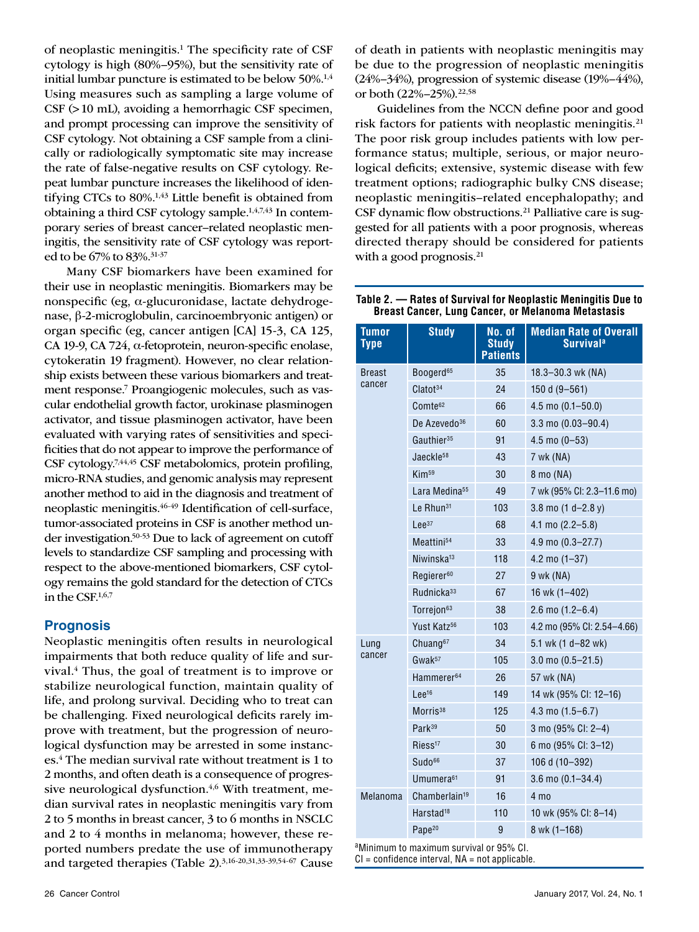of neoplastic meningitis.<sup>1</sup> The specificity rate of CSF cytology is high (80%–95%), but the sensitivity rate of initial lumbar puncture is estimated to be below 50%.<sup>1,4</sup> Using measures such as sampling a large volume of CSF (>10 mL), avoiding a hemorrhagic CSF specimen, and prompt processing can improve the sensitivity of CSF cytology. Not obtaining a CSF sample from a clinically or radiologically symptomatic site may increase the rate of false-negative results on CSF cytology. Repeat lumbar puncture increases the likelihood of identifying CTCs to 80%.<sup>1,43</sup> Little benefit is obtained from obtaining a third CSF cytology sample.1,4,7,43 In contemporary series of breast cancer–related neoplastic meningitis, the sensitivity rate of CSF cytology was reported to be 67% to 83%.31-37

Many CSF biomarkers have been examined for their use in neoplastic meningitis. Biomarkers may be nonspecific (eg, α-glucuronidase, lactate dehydrogenase, β-2-microglobulin, carcinoembryonic antigen) or organ specific (eg, cancer antigen [CA] 15-3, CA 125, CA 19-9, CA 724, α-fetoprotein, neuron-specific enolase, cytokeratin 19 fragment). However, no clear relationship exists between these various biomarkers and treatment response.7 Proangiogenic molecules, such as vascular endothelial growth factor, urokinase plasminogen activator, and tissue plasminogen activator, have been evaluated with varying rates of sensitivities and specificities that do not appear to improve the performance of CSF cytology.7,44,45 CSF metabolomics, protein profiling, micro-RNA studies, and genomic analysis may represent another method to aid in the diagnosis and treatment of neoplastic meningitis.46-49 Identification of cell-surface, tumor-associated proteins in CSF is another method under investigation.50-53 Due to lack of agreement on cutoff levels to standardize CSF sampling and processing with respect to the above-mentioned biomarkers, CSF cytology remains the gold standard for the detection of CTCs in the CSF.1,6,7

## **Prognosis**

Neoplastic meningitis often results in neurological impairments that both reduce quality of life and survival.4 Thus, the goal of treatment is to improve or stabilize neurological function, maintain quality of life, and prolong survival. Deciding who to treat can be challenging. Fixed neurological deficits rarely improve with treatment, but the progression of neurological dysfunction may be arrested in some instances.4 The median survival rate without treatment is 1 to 2 months, and often death is a consequence of progressive neurological dysfunction. $4,6$  With treatment, median survival rates in neoplastic meningitis vary from 2 to 5 months in breast cancer, 3 to 6 months in NSCLC and 2 to 4 months in melanoma; however, these reported numbers predate the use of immunotherapy and targeted therapies (Table 2).3,16-20,31,33-39,54-67 Cause

of death in patients with neoplastic meningitis may be due to the progression of neoplastic meningitis (24%–34%), progression of systemic disease (19%–44%), or both (22%–25%).22,58

Guidelines from the NCCN define poor and good risk factors for patients with neoplastic meningitis.<sup>21</sup> The poor risk group includes patients with low performance status; multiple, serious, or major neurological deficits; extensive, systemic disease with few treatment options; radiographic bulky CNS disease; neoplastic meningitis–related encephalopathy; and CSF dynamic flow obstructions.<sup>21</sup> Palliative care is suggested for all patients with a poor prognosis, whereas directed therapy should be considered for patients with a good prognosis.<sup>21</sup>

**Table 2. — Rates of Survival for Neoplastic Meningitis Due to Breast Cancer, Lung Cancer, or Melanoma Metastasis**

| Tumor<br>Type | <b>Study</b>              | No. of<br><b>Study</b><br><b>Patients</b> | <b>Median Rate of Overall</b><br><b>Survival<sup>a</sup></b> |  |
|---------------|---------------------------|-------------------------------------------|--------------------------------------------------------------|--|
| <b>Breast</b> | Boogerd <sup>65</sup>     | 35                                        | 18.3-30.3 wk (NA)                                            |  |
| cancer        | Clatot <sup>34</sup>      | 24                                        | 150 d $(9 - 561)$                                            |  |
|               | Comte <sup>62</sup>       | 66                                        | $4.5 \text{ mo} (0.1 - 50.0)$                                |  |
|               | De Azevedo <sup>36</sup>  | 60                                        | $3.3 \text{ mo} (0.03 - 90.4)$                               |  |
|               | Gauthier <sup>35</sup>    | 91                                        | $4.5$ mo $(0-53)$                                            |  |
|               | Jaeckle <sup>58</sup>     | 43                                        | 7 wk (NA)                                                    |  |
|               | Kim <sup>59</sup>         | 30                                        | 8 mo (NA)                                                    |  |
|               | Lara Medina <sup>55</sup> | 49                                        | 7 wk (95% Cl: 2.3-11.6 mo)                                   |  |
|               | Le Rhun <sup>31</sup>     | 103                                       | 3.8 mo $(1 d - 2.8 y)$                                       |  |
|               | $Lee^{37}$                | 68                                        | 4.1 mo $(2.2 - 5.8)$                                         |  |
|               | Meattini <sup>54</sup>    | 33                                        | 4.9 mo $(0.3 - 27.7)$                                        |  |
|               | Niwinska <sup>13</sup>    | 118                                       | $4.2 \text{ mo } (1 - 37)$                                   |  |
|               | Regierer <sup>60</sup>    | 27                                        | 9 wk (NA)                                                    |  |
|               | Rudnicka <sup>33</sup>    | 67                                        | 16 wk (1-402)                                                |  |
|               | Torrejon <sup>63</sup>    | 38                                        | $2.6 \text{ mo} (1.2 - 6.4)$                                 |  |
|               | Yust Katz <sup>56</sup>   | 103                                       | 4.2 mo (95% CI: 2.54-4.66)                                   |  |
| Lung          | Chuang <sup>67</sup>      | 34                                        | 5.1 wk (1 d-82 wk)                                           |  |
| cancer        | $Gwak^{57}$               | 105                                       | $3.0 \text{ mo} (0.5 - 21.5)$                                |  |
|               | Hammerer <sup>64</sup>    | 26                                        | 57 wk (NA)                                                   |  |
|               | Lee <sup>16</sup>         | 149                                       | 14 wk (95% Cl: 12-16)                                        |  |
|               | Morris <sup>38</sup>      | 125                                       | 4.3 mo $(1.5 - 6.7)$                                         |  |
|               | Park <sup>39</sup>        | 50                                        | 3 mo (95% CI: 2-4)                                           |  |
|               | Riess <sup>17</sup>       | 30                                        | 6 mo (95% CI: 3-12)                                          |  |
|               | Sudo <sup>66</sup>        | 37                                        | 106 d (10-392)                                               |  |
|               | Umumera <sup>61</sup>     | 91                                        | $3.6 \text{ mo} (0.1 - 34.4)$                                |  |
| Melanoma      | Chamberlain <sup>19</sup> | 16                                        | $4 \text{ mo}$                                               |  |
|               | Harstad <sup>18</sup>     | 110                                       | 10 wk (95% CI: 8-14)                                         |  |
|               | Pape <sup>20</sup>        | 9                                         | 8 wk (1-168)                                                 |  |

a Minimum to maximum survival or 95% CI.

 $CI =$  confidence interval,  $NA =$  not applicable.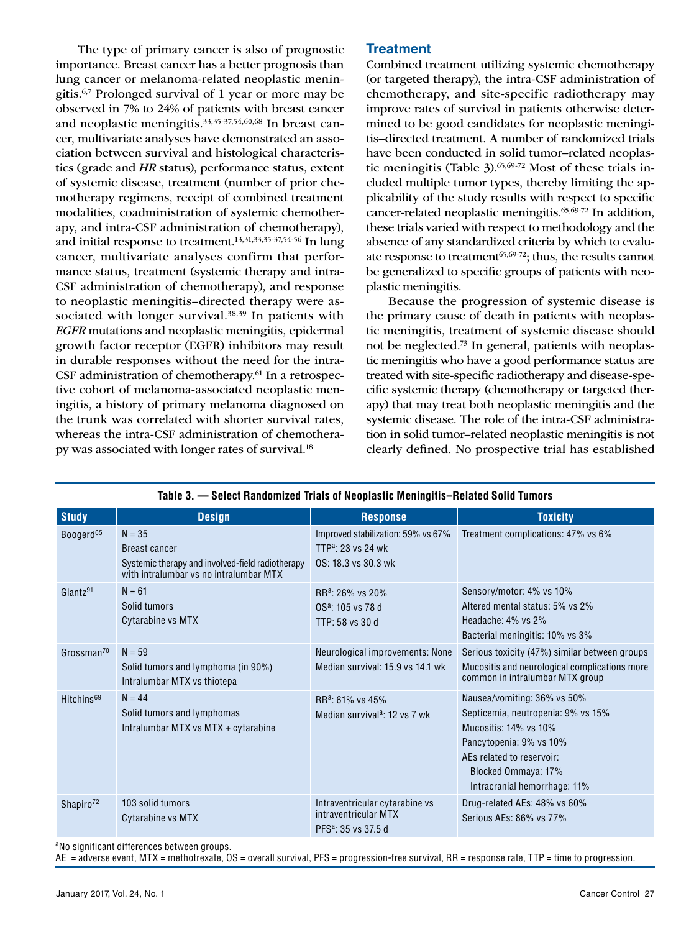The type of primary cancer is also of prognostic importance. Breast cancer has a better prognosis than lung cancer or melanoma-related neoplastic meningitis.6,7 Prolonged survival of 1 year or more may be observed in 7% to 24% of patients with breast cancer and neoplastic meningitis.33,35-37,54,60,68 In breast cancer, multivariate analyses have demonstrated an association between survival and histological characteristics (grade and *HR* status), performance status, extent of systemic disease, treatment (number of prior chemotherapy regimens, receipt of combined treatment modalities, coadministration of systemic chemotherapy, and intra-CSF administration of chemotherapy), and initial response to treatment.13,31,33,35-37,54-56 In lung cancer, multivariate analyses confirm that performance status, treatment (systemic therapy and intra-CSF administration of chemotherapy), and response to neoplastic meningitis–directed therapy were associated with longer survival.<sup>38,39</sup> In patients with *EGFR* mutations and neoplastic meningitis, epidermal growth factor receptor (EGFR) inhibitors may result in durable responses without the need for the intra-CSF administration of chemotherapy.61 In a retrospective cohort of melanoma-associated neoplastic meningitis, a history of primary melanoma diagnosed on the trunk was correlated with shorter survival rates, whereas the intra-CSF administration of chemotherapy was associated with longer rates of survival.<sup>18</sup>

# **Treatment**

Combined treatment utilizing systemic chemotherapy (or targeted therapy), the intra-CSF administration of chemotherapy, and site-specific radiotherapy may improve rates of survival in patients otherwise determined to be good candidates for neoplastic meningitis–directed treatment. A number of randomized trials have been conducted in solid tumor–related neoplastic meningitis (Table  $3$ ).<sup>65,69-72</sup> Most of these trials included multiple tumor types, thereby limiting the applicability of the study results with respect to specific cancer-related neoplastic meningitis.65,69-72 In addition, these trials varied with respect to methodology and the absence of any standardized criteria by which to evaluate response to treatment $65,69-72$ ; thus, the results cannot be generalized to specific groups of patients with neoplastic meningitis.

Because the progression of systemic disease is the primary cause of death in patients with neoplastic meningitis, treatment of systemic disease should not be neglected.73 In general, patients with neoplastic meningitis who have a good performance status are treated with site-specific radiotherapy and disease-specific systemic therapy (chemotherapy or targeted therapy) that may treat both neoplastic meningitis and the systemic disease. The role of the intra-CSF administration in solid tumor–related neoplastic meningitis is not clearly defined. No prospective trial has established

| <b>Study</b>            | <b>Design</b>                                                                                                                  | <b>Response</b>                                                                             | <b>Toxicity</b>                                                                                                                                                                                           |
|-------------------------|--------------------------------------------------------------------------------------------------------------------------------|---------------------------------------------------------------------------------------------|-----------------------------------------------------------------------------------------------------------------------------------------------------------------------------------------------------------|
| Boogerd <sup>65</sup>   | $N = 35$<br><b>Breast cancer</b><br>Systemic therapy and involved-field radiotherapy<br>with intralumbar vs no intralumbar MTX | Improved stabilization: 59% vs 67%<br>TTP <sup>a</sup> : 23 vs 24 wk<br>0S: 18.3 vs 30.3 wk | Treatment complications: 47% vs 6%                                                                                                                                                                        |
| $G$ lantz <sup>91</sup> | $N = 61$<br>Solid tumors<br>Cytarabine vs MTX                                                                                  | RR <sup>a</sup> : 26% vs 20%<br>$OSa$ : 105 vs 78 d<br>TTP: 58 vs 30 d                      | Sensory/motor: 4% vs 10%<br>Altered mental status: 5% vs 2%<br>Headache: 4% vs 2%<br>Bacterial meningitis: 10% vs 3%                                                                                      |
| Grossman <sup>70</sup>  | $N = 59$<br>Solid tumors and lymphoma (in 90%)<br>Intralumbar MTX vs thiotepa                                                  | Neurological improvements: None<br>Median survival: 15.9 vs 14.1 wk                         | Serious toxicity (47%) similar between groups<br>Mucositis and neurological complications more<br>common in intralumbar MTX group                                                                         |
| Hitchins <sup>69</sup>  | $N = 44$<br>Solid tumors and lymphomas<br>Intralumbar MTX vs MTX + cytarabine                                                  | RR <sup>a</sup> : 61% vs 45%<br>Median survival <sup>a</sup> : 12 vs 7 wk                   | Nausea/vomiting: 36% vs 50%<br>Septicemia, neutropenia: 9% vs 15%<br>Mucositis: 14% vs 10%<br>Pancytopenia: 9% vs 10%<br>AEs related to reservoir:<br>Blocked Ommaya: 17%<br>Intracranial hemorrhage: 11% |
| Shapiro <sup>72</sup>   | 103 solid tumors<br>Cytarabine vs MTX                                                                                          | Intraventricular cytarabine vs<br>intraventricular MTX<br>PFS <sup>a</sup> : 35 vs 37.5 d   | Drug-related AEs: 48% vs 60%<br>Serious AEs: 86% vs 77%                                                                                                                                                   |

## **Table 3. — Select Randomized Trials of Neoplastic Meningitis–Related Solid Tumors**

<sup>a</sup>No significant differences between groups.

AE = adverse event, MTX = methotrexate, OS = overall survival, PFS = progression-free survival, RR = response rate, TTP = time to progression.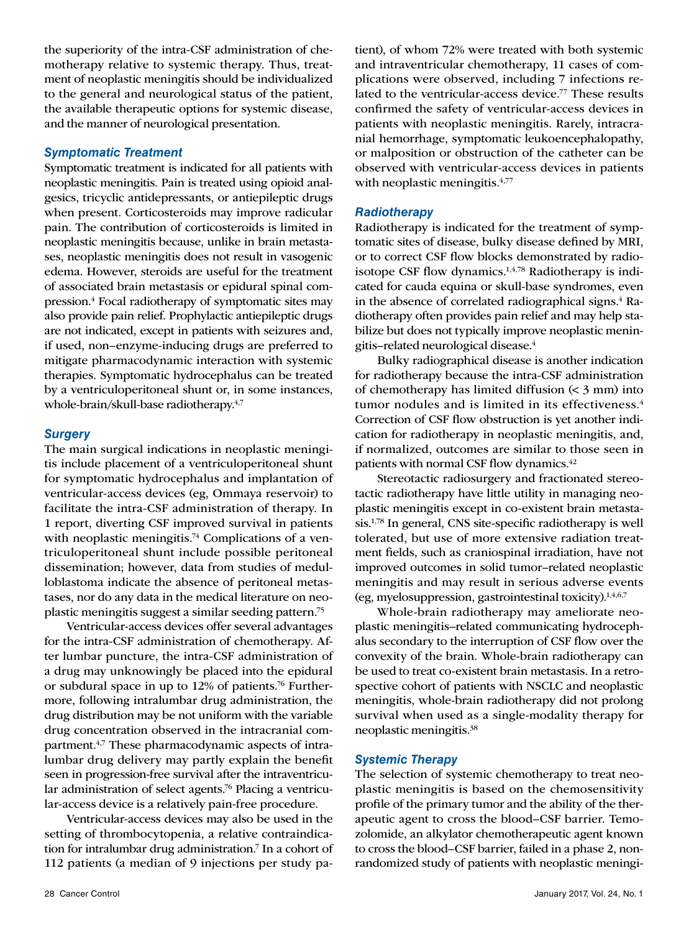the superiority of the intra-CSF administration of chemotherapy relative to systemic therapy. Thus, treatment of neoplastic meningitis should be individualized to the general and neurological status of the patient, the available therapeutic options for systemic disease, and the manner of neurological presentation.

#### *Symptomatic Treatment*

Symptomatic treatment is indicated for all patients with neoplastic meningitis. Pain is treated using opioid analgesics, tricyclic antidepressants, or antiepileptic drugs when present. Corticosteroids may improve radicular pain. The contribution of corticosteroids is limited in neoplastic meningitis because, unlike in brain metastases, neoplastic meningitis does not result in vasogenic edema. However, steroids are useful for the treatment of associated brain metastasis or epidural spinal compression.<sup>4</sup> Focal radiotherapy of symptomatic sites may also provide pain relief. Prophylactic antiepileptic drugs are not indicated, except in patients with seizures and, if used, non–enzyme-inducing drugs are preferred to mitigate pharmacodynamic interaction with systemic therapies. Symptomatic hydrocephalus can be treated by a ventriculoperitoneal shunt or, in some instances, whole-brain/skull-base radiotherapy.4,7

#### *Surgery*

The main surgical indications in neoplastic meningitis include placement of a ventriculoperitoneal shunt for symptomatic hydrocephalus and implantation of ventricular-access devices (eg, Ommaya reservoir) to facilitate the intra-CSF administration of therapy. In 1 report, diverting CSF improved survival in patients with neoplastic meningitis.<sup>74</sup> Complications of a ventriculoperitoneal shunt include possible peritoneal dissemination; however, data from studies of medulloblastoma indicate the absence of peritoneal metastases, nor do any data in the medical literature on neoplastic meningitis suggest a similar seeding pattern.75

Ventricular-access devices offer several advantages for the intra-CSF administration of chemotherapy. After lumbar puncture, the intra-CSF administration of a drug may unknowingly be placed into the epidural or subdural space in up to 12% of patients.76 Furthermore, following intralumbar drug administration, the drug distribution may be not uniform with the variable drug concentration observed in the intracranial compartment.<sup>4,7</sup> These pharmacodynamic aspects of intralumbar drug delivery may partly explain the benefit seen in progression-free survival after the intraventricular administration of select agents.<sup>76</sup> Placing a ventricular-access device is a relatively pain-free procedure.

Ventricular-access devices may also be used in the setting of thrombocytopenia, a relative contraindication for intralumbar drug administration.7 In a cohort of 112 patients (a median of 9 injections per study patient), of whom 72% were treated with both systemic and intraventricular chemotherapy, 11 cases of complications were observed, including 7 infections related to the ventricular-access device.<sup>77</sup> These results confirmed the safety of ventricular-access devices in patients with neoplastic meningitis. Rarely, intracranial hemorrhage, symptomatic leukoencephalopathy, or malposition or obstruction of the catheter can be observed with ventricular-access devices in patients with neoplastic meningitis.<sup>4,77</sup>

#### *Radiotherapy*

Radiotherapy is indicated for the treatment of symptomatic sites of disease, bulky disease defined by MRI, or to correct CSF flow blocks demonstrated by radioisotope CSF flow dynamics.1,4,78 Radiotherapy is indicated for cauda equina or skull-base syndromes, even in the absence of correlated radiographical signs.<sup>4</sup> Radiotherapy often provides pain relief and may help stabilize but does not typically improve neoplastic meningitis–related neurological disease.4

Bulky radiographical disease is another indication for radiotherapy because the intra-CSF administration of chemotherapy has limited diffusion  $( $3 \text{ mm}$ )$  into tumor nodules and is limited in its effectiveness.<sup>4</sup> Correction of CSF flow obstruction is yet another indication for radiotherapy in neoplastic meningitis, and, if normalized, outcomes are similar to those seen in patients with normal CSF flow dynamics.<sup>42</sup>

Stereotactic radiosurgery and fractionated stereotactic radiotherapy have little utility in managing neoplastic meningitis except in co-existent brain metastasis.1,78 In general, CNS site-specific radiotherapy is well tolerated, but use of more extensive radiation treatment fields, such as craniospinal irradiation, have not improved outcomes in solid tumor–related neoplastic meningitis and may result in serious adverse events (eg, myelosuppression, gastrointestinal toxicity).1,4,6,7

Whole-brain radiotherapy may ameliorate neoplastic meningitis–related communicating hydrocephalus secondary to the interruption of CSF flow over the convexity of the brain. Whole-brain radiotherapy can be used to treat co-existent brain metastasis. In a retrospective cohort of patients with NSCLC and neoplastic meningitis, whole-brain radiotherapy did not prolong survival when used as a single-modality therapy for neoplastic meningitis.38

#### *Systemic Therapy*

The selection of systemic chemotherapy to treat neoplastic meningitis is based on the chemosensitivity profile of the primary tumor and the ability of the therapeutic agent to cross the blood–CSF barrier. Temozolomide, an alkylator chemotherapeutic agent known to cross the blood–CSF barrier, failed in a phase 2, nonrandomized study of patients with neoplastic meningi-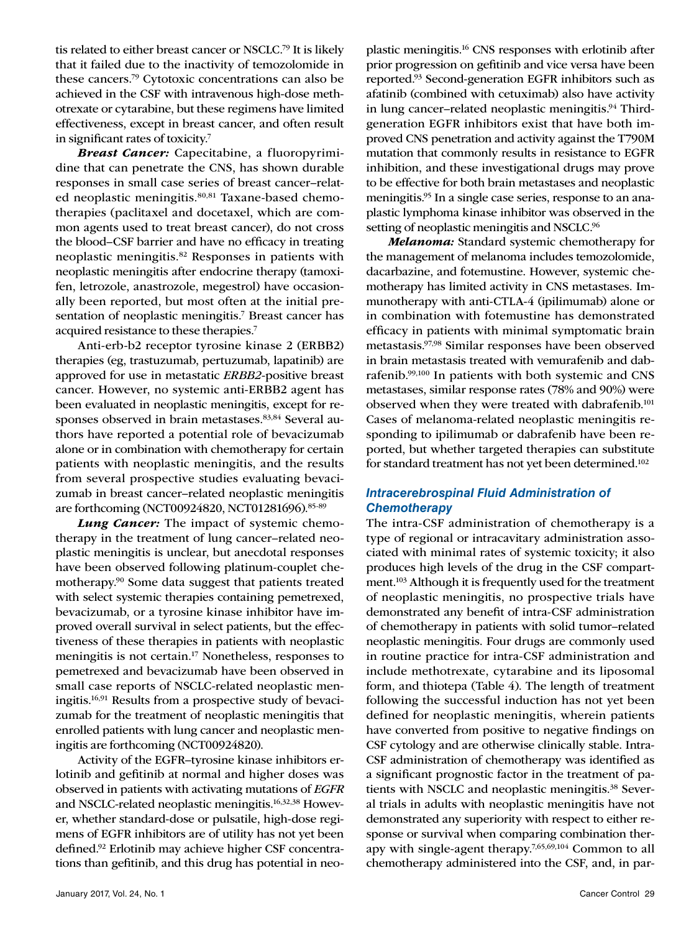tis related to either breast cancer or NSCLC.79 It is likely that it failed due to the inactivity of temozolomide in these cancers.79 Cytotoxic concentrations can also be achieved in the CSF with intravenous high-dose methotrexate or cytarabine, but these regimens have limited effectiveness, except in breast cancer, and often result in significant rates of toxicity.7

*Breast Cancer:* Capecitabine, a fluoropyrimidine that can penetrate the CNS, has shown durable responses in small case series of breast cancer–related neoplastic meningitis.<sup>80,81</sup> Taxane-based chemotherapies (paclitaxel and docetaxel, which are common agents used to treat breast cancer), do not cross the blood–CSF barrier and have no efficacy in treating neoplastic meningitis.82 Responses in patients with neoplastic meningitis after endocrine therapy (tamoxifen, letrozole, anastrozole, megestrol) have occasionally been reported, but most often at the initial presentation of neoplastic meningitis.<sup>7</sup> Breast cancer has acquired resistance to these therapies.7

Anti-erb-b2 receptor tyrosine kinase 2 (ERBB2) therapies (eg, trastuzumab, pertuzumab, lapatinib) are approved for use in metastatic *ERBB2*-positive breast cancer. However, no systemic anti-ERBB2 agent has been evaluated in neoplastic meningitis, except for responses observed in brain metastases.<sup>83,84</sup> Several authors have reported a potential role of bevacizumab alone or in combination with chemotherapy for certain patients with neoplastic meningitis, and the results from several prospective studies evaluating bevacizumab in breast cancer–related neoplastic meningitis are forthcoming (NCT00924820, NCT01281696).85-89

*Lung Cancer:* The impact of systemic chemotherapy in the treatment of lung cancer–related neoplastic meningitis is unclear, but anecdotal responses have been observed following platinum-couplet chemotherapy.90 Some data suggest that patients treated with select systemic therapies containing pemetrexed, bevacizumab, or a tyrosine kinase inhibitor have improved overall survival in select patients, but the effectiveness of these therapies in patients with neoplastic meningitis is not certain.17 Nonetheless, responses to pemetrexed and bevacizumab have been observed in small case reports of NSCLC-related neoplastic meningitis.16,91 Results from a prospective study of bevacizumab for the treatment of neoplastic meningitis that enrolled patients with lung cancer and neoplastic meningitis are forthcoming (NCT00924820).

Activity of the EGFR–tyrosine kinase inhibitors erlotinib and gefitinib at normal and higher doses was observed in patients with activating mutations of *EGFR* and NSCLC-related neoplastic meningitis.16,32,38 However, whether standard-dose or pulsatile, high-dose regimens of EGFR inhibitors are of utility has not yet been defined.92 Erlotinib may achieve higher CSF concentrations than gefitinib, and this drug has potential in neoplastic meningitis.16 CNS responses with erlotinib after prior progression on gefitinib and vice versa have been reported.93 Second-generation EGFR inhibitors such as afatinib (combined with cetuximab) also have activity in lung cancer-related neoplastic meningitis.<sup>94</sup> Thirdgeneration EGFR inhibitors exist that have both improved CNS penetration and activity against the T790M mutation that commonly results in resistance to EGFR inhibition, and these investigational drugs may prove to be effective for both brain metastases and neoplastic meningitis.<sup>95</sup> In a single case series, response to an anaplastic lymphoma kinase inhibitor was observed in the setting of neoplastic meningitis and NSCLC.<sup>96</sup>

*Melanoma:* Standard systemic chemotherapy for the management of melanoma includes temozolomide, dacarbazine, and fotemustine. However, systemic chemotherapy has limited activity in CNS metastases. Immunotherapy with anti-CTLA-4 (ipilimumab) alone or in combination with fotemustine has demonstrated efficacy in patients with minimal symptomatic brain metastasis.97,98 Similar responses have been observed in brain metastasis treated with vemurafenib and dabrafenib.99,100 In patients with both systemic and CNS metastases, similar response rates (78% and 90%) were observed when they were treated with dabrafenib.<sup>101</sup> Cases of melanoma-related neoplastic meningitis responding to ipilimumab or dabrafenib have been reported, but whether targeted therapies can substitute for standard treatment has not yet been determined.<sup>102</sup>

## *Intracerebrospinal Fluid Administration of Chemotherapy*

The intra-CSF administration of chemotherapy is a type of regional or intracavitary administration associated with minimal rates of systemic toxicity; it also produces high levels of the drug in the CSF compartment.103 Although it is frequently used for the treatment of neoplastic meningitis, no prospective trials have demonstrated any benefit of intra-CSF administration of chemotherapy in patients with solid tumor–related neoplastic meningitis. Four drugs are commonly used in routine practice for intra-CSF administration and include methotrexate, cytarabine and its liposomal form, and thiotepa (Table 4). The length of treatment following the successful induction has not yet been defined for neoplastic meningitis, wherein patients have converted from positive to negative findings on CSF cytology and are otherwise clinically stable. Intra-CSF administration of chemotherapy was identified as a significant prognostic factor in the treatment of patients with NSCLC and neoplastic meningitis.<sup>38</sup> Several trials in adults with neoplastic meningitis have not demonstrated any superiority with respect to either response or survival when comparing combination therapy with single-agent therapy.7,65,69,104 Common to all chemotherapy administered into the CSF, and, in par-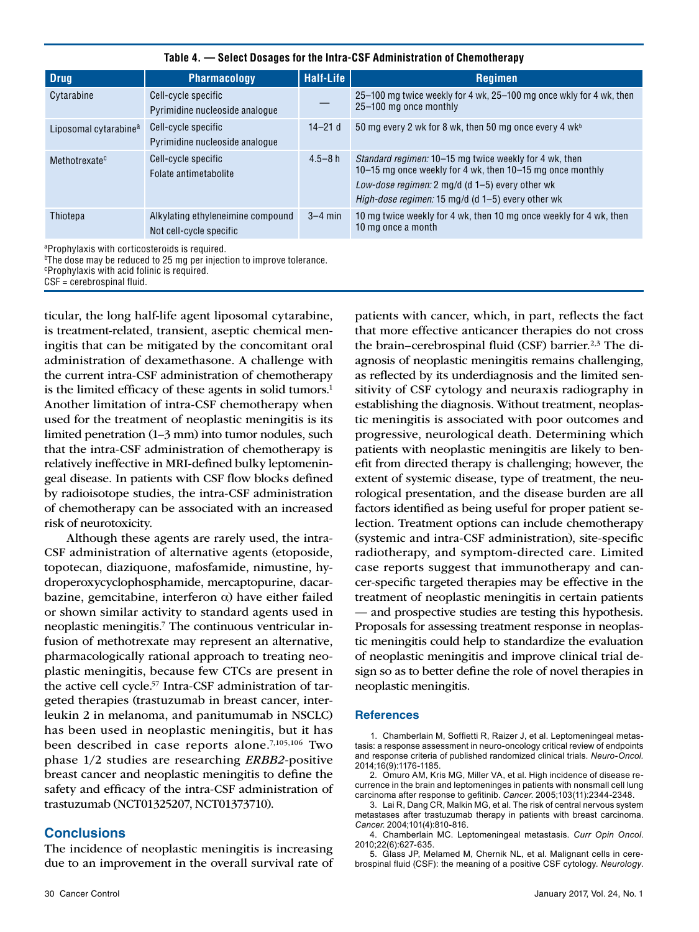| <b>Drug</b>                                                                                                                                                                    | <b>Pharmacology</b>                                          | <b>Half-Life</b> | <b>Regimen</b>                                                                                                                                                                                                              |  |
|--------------------------------------------------------------------------------------------------------------------------------------------------------------------------------|--------------------------------------------------------------|------------------|-----------------------------------------------------------------------------------------------------------------------------------------------------------------------------------------------------------------------------|--|
| Cytarabine                                                                                                                                                                     | Cell-cycle specific<br>Pyrimidine nucleoside analogue        |                  | 25–100 mg twice weekly for 4 wk, 25–100 mg once wkly for 4 wk, then<br>25-100 mg once monthly                                                                                                                               |  |
| Liposomal cytarabine <sup>a</sup>                                                                                                                                              | Cell-cycle specific<br>Pyrimidine nucleoside analogue        | $14 - 21d$       | 50 mg every 2 wk for 8 wk, then 50 mg once every 4 wkb                                                                                                                                                                      |  |
| Methotrexate <sup>c</sup>                                                                                                                                                      | Cell-cycle specific<br>Folate antimetabolite                 | $4.5 - 8h$       | Standard regimen: 10-15 mg twice weekly for 4 wk, then<br>10–15 mg once weekly for 4 wk, then 10–15 mg once monthly<br>Low-dose regimen: 2 mg/d (d 1-5) every other wk<br>High-dose regimen: 15 mg/d (d 1-5) every other wk |  |
| Thiotepa                                                                                                                                                                       | Alkylating ethyleneimine compound<br>Not cell-cycle specific | $3-4$ min        | 10 mg twice weekly for 4 wk, then 10 mg once weekly for 4 wk, then<br>10 mg once a month                                                                                                                                    |  |
| aProphylaxis with corticosteroids is required.<br>$^{\rm b}$ The dose may be reduced to 25 mg per injection to improve tolerance.<br>Prophylavis with acid folinic is required |                                                              |                  |                                                                                                                                                                                                                             |  |

iinic is required.

CSF = cerebrospinal fluid.

ticular, the long half-life agent liposomal cytarabine, is treatment-related, transient, aseptic chemical meningitis that can be mitigated by the concomitant oral administration of dexamethasone. A challenge with the current intra-CSF administration of chemotherapy is the limited efficacy of these agents in solid tumors.<sup>1</sup> Another limitation of intra-CSF chemotherapy when used for the treatment of neoplastic meningitis is its limited penetration (1–3 mm) into tumor nodules, such that the intra-CSF administration of chemotherapy is relatively ineffective in MRI-defined bulky leptomeningeal disease. In patients with CSF flow blocks defined by radioisotope studies, the intra-CSF administration of chemotherapy can be associated with an increased risk of neurotoxicity.

Although these agents are rarely used, the intra-CSF administration of alternative agents (etoposide, topotecan, diaziquone, mafosfamide, nimustine, hydroperoxycyclophosphamide, mercaptopurine, dacarbazine, gemcitabine, interferon α) have either failed or shown similar activity to standard agents used in neoplastic meningitis.7 The continuous ventricular infusion of methotrexate may represent an alternative, pharmacologically rational approach to treating neoplastic meningitis, because few CTCs are present in the active cell cycle.57 Intra-CSF administration of targeted therapies (trastuzumab in breast cancer, interleukin 2 in melanoma, and panitumumab in NSCLC) has been used in neoplastic meningitis, but it has been described in case reports alone.7,105,106 Two phase 1/2 studies are researching *ERBB2*-positive breast cancer and neoplastic meningitis to define the safety and efficacy of the intra-CSF administration of trastuzumab (NCT01325207, NCT01373710).

## **Conclusions**

The incidence of neoplastic meningitis is increasing due to an improvement in the overall survival rate of

patients with cancer, which, in part, reflects the fact that more effective anticancer therapies do not cross the brain–cerebrospinal fluid (CSF) barrier.<sup>2,3</sup> The diagnosis of neoplastic meningitis remains challenging, as reflected by its underdiagnosis and the limited sensitivity of CSF cytology and neuraxis radiography in establishing the diagnosis. Without treatment, neoplastic meningitis is associated with poor outcomes and progressive, neurological death. Determining which patients with neoplastic meningitis are likely to benefit from directed therapy is challenging; however, the extent of systemic disease, type of treatment, the neurological presentation, and the disease burden are all factors identified as being useful for proper patient selection. Treatment options can include chemotherapy (systemic and intra-CSF administration), site-specific radiotherapy, and symptom-directed care. Limited case reports suggest that immunotherapy and cancer-specific targeted therapies may be effective in the treatment of neoplastic meningitis in certain patients — and prospective studies are testing this hypothesis. Proposals for assessing treatment response in neoplastic meningitis could help to standardize the evaluation of neoplastic meningitis and improve clinical trial design so as to better define the role of novel therapies in neoplastic meningitis.

#### **References**

<sup>1.</sup> Chamberlain M, Soffietti R, Raizer J, et al. Leptomeningeal metastasis: a response assessment in neuro-oncology critical review of endpoints and response criteria of published randomized clinical trials. *Neuro-Oncol.* 2014;16(9):1176-1185.

<sup>2.</sup> Omuro AM, Kris MG, Miller VA, et al. High incidence of disease recurrence in the brain and leptomeninges in patients with nonsmall cell lung carcinoma after response to gefitinib. *Cancer*. 2005;103(11):2344-2348.

<sup>3.</sup> Lai R, Dang CR, Malkin MG, et al. The risk of central nervous system metastases after trastuzumab therapy in patients with breast carcinoma. *Cancer*. 2004;101(4):810-816.

 <sup>4.</sup> Chamberlain MC. Leptomeningeal metastasis. *Curr Opin Oncol*. 2010;22(6):627-635.

<sup>5.</sup> Glass JP, Melamed M, Chernik NL, et al. Malignant cells in cerebrospinal fluid (CSF): the meaning of a positive CSF cytology. *Neurology*.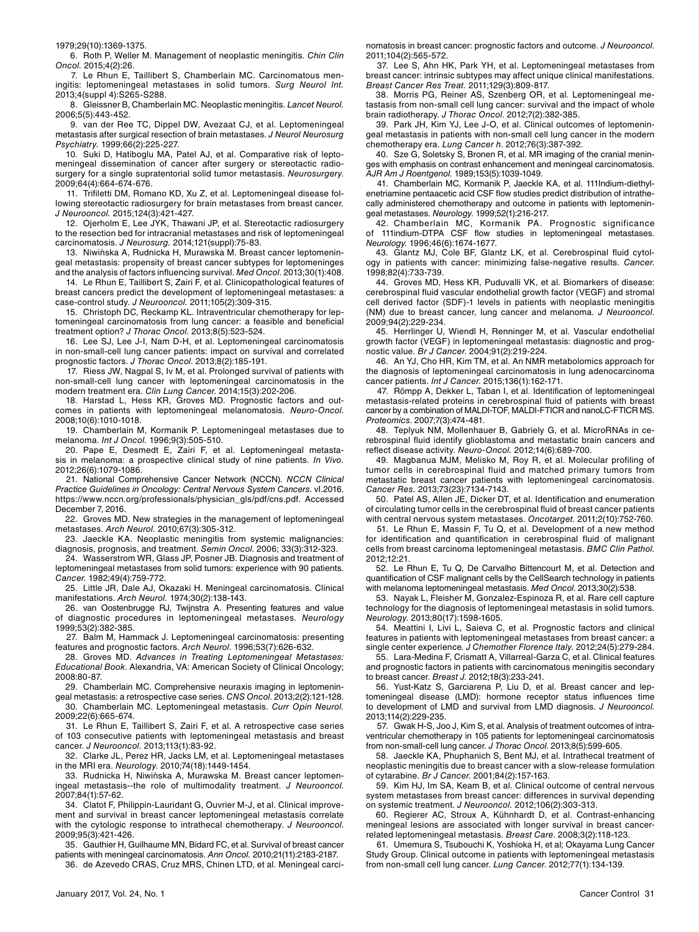1979;29(10):1369-1375.

6. Roth P, Weller M. Management of neoplastic meningitis. *Chin Clin Oncol.* 2015;4(2):26.

7. Le Rhun E, Taillibert S, Chamberlain MC. Carcinomatous meningitis: leptomeningeal metastases in solid tumors. *Surg Neurol Int.*  2013;4(suppl 4):S265-S288.

8. Gleissner B, Chamberlain MC. Neoplastic meningitis. *Lancet Neurol.* 2006;5(5):443-452.

9. van der Ree TC, Dippel DW, Avezaat CJ, et al. Leptomeningeal metastasis after surgical resection of brain metastases. *J Neurol Neurosurg Psychiatry.* 1999;66(2):225-227.

10. Suki D, Hatiboglu MA, Patel AJ, et al. Comparative risk of leptomeningeal dissemination of cancer after surgery or stereotactic radiosurgery for a single supratentorial solid tumor metastasis. *Neurosurgery*. 2009;64(4):664-674-676.

11. Trifiletti DM, Romano KD, Xu Z, et al. Leptomeningeal disease following stereotactic radiosurgery for brain metastases from breast cancer*. J Neurooncol.* 2015;124(3):421-427.

12. Ojerholm E, Lee JYK, Thawani JP, et al. Stereotactic radiosurgery to the resection bed for intracranial metastases and risk of leptomeningeal carcinomatosis. *J Neurosurg.* 2014;121(suppl):75-83.

13. Niwińska A, Rudnicka H, Murawska M. Breast cancer leptomeningeal metastasis: propensity of breast cancer subtypes for leptomeninges and the analysis of factors influencing survival. *Med Oncol*. 2013;30(1):408.

14. Le Rhun E, Taillibert S, Zairi F, et al. Clinicopathological features of breast cancers predict the development of leptomeningeal metastases: a case-control study. *J Neurooncol.* 2011;105(2):309-315.

15. Christoph DC, Reckamp KL. Intraventricular chemotherapy for leptomeningeal carcinomatosis from lung cancer: a feasible and beneficial treatment option? *J Thorac Oncol*. 2013;8(5):523-524.

16. Lee SJ, Lee J-I, Nam D-H, et al. Leptomeningeal carcinomatosis in non-small-cell lung cancer patients: impact on survival and correlated prognostic factors. *J Thorac Oncol*. 2013;8(2):185-191.

17. Riess JW, Nagpal S, Iv M, et al. Prolonged survival of patients with non-small-cell lung cancer with leptomeningeal carcinomatosis in the modern treatment era. *Clin Lung Cancer*. 2014;15(3):202-206.

18. Harstad L, Hess KR, Groves MD. Prognostic factors and outcomes in patients with leptomeningeal melanomatosis. *Neuro-Oncol*. 2008;10(6):1010-1018.

19. Chamberlain M, Kormanik P. Leptomeningeal metastases due to melanoma. *Int J Oncol.* 1996;9(3):505-510.

20. Pape E, Desmedt E, Zairi F, et al. Leptomeningeal metastasis in melanoma: a prospective clinical study of nine patients. *In Vivo.* 2012;26(6):1079-1086.

21. National Comprehensive Cancer Network (NCCN). *NCCN Clinical Practice Guidelines in Oncology: Central Nervous System Cancers*. vI.2016. https://www.nccn.org/professionals/physician\_gls/pdf/cns.pdf. Accessed December 7, 2016.

22. Groves MD. New strategies in the management of leptomeningeal metastases. *Arch Neurol.* 2010;67(3):305-312.

23. Jaeckle KA. Neoplastic meningitis from systemic malignancies: diagnosis, prognosis, and treatment. *Semin Oncol*. 2006; 33(3):312-323.

24. Wasserstrom WR, Glass JP, Posner JB. Diagnosis and treatment of leptomeningeal metastases from solid tumors: experience with 90 patients. *Cancer*. 1982;49(4):759-772.

25. Little JR, Dale AJ, Okazaki H. Meningeal carcinomatosis. Clinical manifestations. *Arch Neurol.* 1974;30(2):138-143.

26. van Oostenbrugge RJ, Twijnstra A. Presenting features and value of diagnostic procedures in leptomeningeal metastases. *Neurology* 1999;53(2):382-385.

27. Balm M, Hammack J. Leptomeningeal carcinomatosis: presenting features and prognostic factors. *Arch Neurol*. 1996;53(7):626-632.

28. Groves MD. *Advances in Treating Leptomeningeal Metastases: Educational Book*. Alexandria, VA: American Society of Clinical Oncology; 2008:80-87.

29. Chamberlain MC. Comprehensive neuraxis imaging in leptomenin-

geal metastasis: a retrospective case series. *CNS Oncol*. 2013;2(2):121-128. 30. Chamberlain MC. Leptomeningeal metastasis. *Curr Opin Neurol.*  2009;22(6):665-674.

31. Le Rhun E, Taillibert S, Zairi F, et al. A retrospective case series of 103 consecutive patients with leptomeningeal metastasis and breast cancer. *J Neurooncol.* 2013;113(1):83-92.

32. Clarke JL, Perez HR, Jacks LM, et al. Leptomeningeal metastases in the MRI era. *Neurology*. 2010;74(18):1449-1454.

33. Rudnicka H, Niwińska A, Murawska M. Breast cancer leptomeningeal metastasis--the role of multimodality treatment. *J Neurooncol*. 2007;84(1):57-62.

34. Clatot F, Philippin-Lauridant G, Ouvrier M-J, et al. Clinical improvement and survival in breast cancer leptomeningeal metastasis correlate with the cytologic response to intrathecal chemotherapy. *J Neurooncol*. 2009;95(3):421-426.

35. Gauthier H, Guilhaume MN, Bidard FC, et al. Survival of breast cancer patients with meningeal carcinomatosis. *Ann Oncol.* 2010;21(11):2183-2187.

36. de Azevedo CRAS, Cruz MRS, Chinen LTD, et al. Meningeal carci-

January 2017, Vol. 24, No. 1 Cancer Control 31

nomatosis in breast cancer: prognostic factors and outcome. *J Neurooncol*. 2011;104(2):565-572.

37. Lee S, Ahn HK, Park YH, et al. Leptomeningeal metastases from breast cancer: intrinsic subtypes may affect unique clinical manifestations. *Breast Cancer Res Treat.* 2011;129(3):809-817.

38. Morris PG, Reiner AS, Szenberg OR, et al. Leptomeningeal metastasis from non-small cell lung cancer: survival and the impact of whole brain radiotherapy. *J Thorac Oncol*. 2012;7(2):382-385.

39. Park JH, Kim YJ, Lee J-O, et al. Clinical outcomes of leptomeningeal metastasis in patients with non-small cell lung cancer in the modern chemotherapy era. *Lung Cancer h*. 2012;76(3):387-392.

40. Sze G, Soletsky S, Bronen R, et al. MR imaging of the cranial meninges with emphasis on contrast enhancement and meningeal carcinomatosis. *AJR Am J Roentgenol.* 1989;153(5):1039-1049.

41. Chamberlain MC, Kormanik P, Jaeckle KA, et al. 111Indium-diethylenetriamine pentaacetic acid CSF flow studies predict distribution of intrathecally administered chemotherapy and outcome in patients with leptomeningeal metastases. *Neurology*. 1999;52(1):216-217.

42. Chamberlain MC, Kormanik PA. Prognostic significance of 111indium-DTPA CSF flow studies in leptomeningeal metastases. *Neurology*. 1996;46(6):1674-1677.

43. Glantz MJ, Cole BF, Glantz LK, et al. Cerebrospinal fluid cytology in patients with cancer: minimizing false-negative results. *Cancer*. 1998;82(4):733-739.

44. Groves MD, Hess KR, Puduvalli VK, et al. Biomarkers of disease: cerebrospinal fluid vascular endothelial growth factor (VEGF) and stromal cell derived factor (SDF)-1 levels in patients with neoplastic meningitis (NM) due to breast cancer, lung cancer and melanoma*. J Neurooncol*. 2009;94(2):229-234.

45. Herrlinger U, Wiendl H, Renninger M, et al. Vascular endothelial growth factor (VEGF) in leptomeningeal metastasis: diagnostic and prognostic value. *Br J Cancer*. 2004;91(2):219-224.

46. An YJ, Cho HR, Kim TM, et al. An NMR metabolomics approach for the diagnosis of leptomeningeal carcinomatosis in lung adenocarcinoma cancer patients. *Int J Cancer*. 2015;136(1):162-171.

47. Römpp A, Dekker L, Taban I, et al. Identification of leptomeningeal metastasis-related proteins in cerebrospinal fluid of patients with breast cancer by a combination of MALDI-TOF, MALDI-FTICR and nanoLC-FTICR MS. *Proteomics*. 2007;7(3):474-481.

48. Teplyuk NM, Mollenhauer B, Gabriely G, et al. MicroRNAs in cerebrospinal fluid identify glioblastoma and metastatic brain cancers and reflect disease activity. *Neuro-Oncol.* 2012;14(6):689-700.

49. Magbanua MJM, Melisko M, Roy R, et al. Molecular profiling of tumor cells in cerebrospinal fluid and matched primary tumors from metastatic breast cancer patients with leptomeningeal carcinomatosis. *Cancer Res.* 2013;73(23):7134-7143.

50. Patel AS, Allen JE, Dicker DT, et al. Identification and enumeration of circulating tumor cells in the cerebrospinal fluid of breast cancer patients with central nervous system metastases. *Oncotarget*. 2011;2(10):752-760.

51. Le Rhun E, Massin F, Tu Q, et al. Development of a new method for identification and quantification in cerebrospinal fluid of malignant cells from breast carcinoma leptomeningeal metastasis. *BMC Clin Pathol*. 2012;12:21.

52. Le Rhun E, Tu Q, De Carvalho Bittencourt M, et al. Detection and quantification of CSF malignant cells by the CellSearch technology in patients with melanoma leptomeningeal metastasis. *Med Oncol*. 2013;30(2):538.

53. Nayak L, Fleisher M, Gonzalez-Espinoza R, et al. Rare cell capture technology for the diagnosis of leptomeningeal metastasis in solid tumors. *Neurology*. 2013;80(17):1598-1605.

54. Meattini I, Livi L, Saieva C, et al. Prognostic factors and clinical features in patients with leptomeningeal metastases from breast cancer: a single center experience*. J Chemother Florence Italy.* 2012;24(5):279-284.

55. Lara-Medina F, Crismatt A, Villarreal-Garza C, et al. Clinical features and prognostic factors in patients with carcinomatous meningitis secondary to breast cancer. *Breast J*. 2012;18(3):233-241.

56. Yust-Katz S, Garciarena P, Liu D, et al. Breast cancer and leptomeningeal disease (LMD): hormone receptor status influences time to development of LMD and survival from LMD diagnosis. *J Neurooncol*. 2013;114(2):229-235.

57. Gwak H-S, Joo J, Kim S, et al. Analysis of treatment outcomes of intraventricular chemotherapy in 105 patients for leptomeningeal carcinomatosis from non-small-cell lung cancer. *J Thorac Oncol*. 2013;8(5):599-605.

58. Jaeckle KA, Phuphanich S, Bent MJ, et al. Intrathecal treatment of neoplastic meningitis due to breast cancer with a slow-release formulation of cytarabine. *Br J Cancer*. 2001;84(2):157-163.

59. Kim HJ, Im SA, Keam B, et al. Clinical outcome of central nervous system metastases from breast cancer: differences in survival depending on systemic treatment. *J Neurooncol.* 2012;106(2):303-313.

60. Regierer AC, Stroux A, Kühnhardt D, et al. Contrast-enhancing meningeal lesions are associated with longer survival in breast cancerrelated leptomeningeal metastasis. *Breast Care*. 2008;3(2):118-123.

61. Umemura S, Tsubouchi K, Yoshioka H, et al; Okayama Lung Cancer Study Group. Clinical outcome in patients with leptomeningeal metastasis from non-small cell lung cancer. *Lung Cancer*. 2012;77(1):134-139.